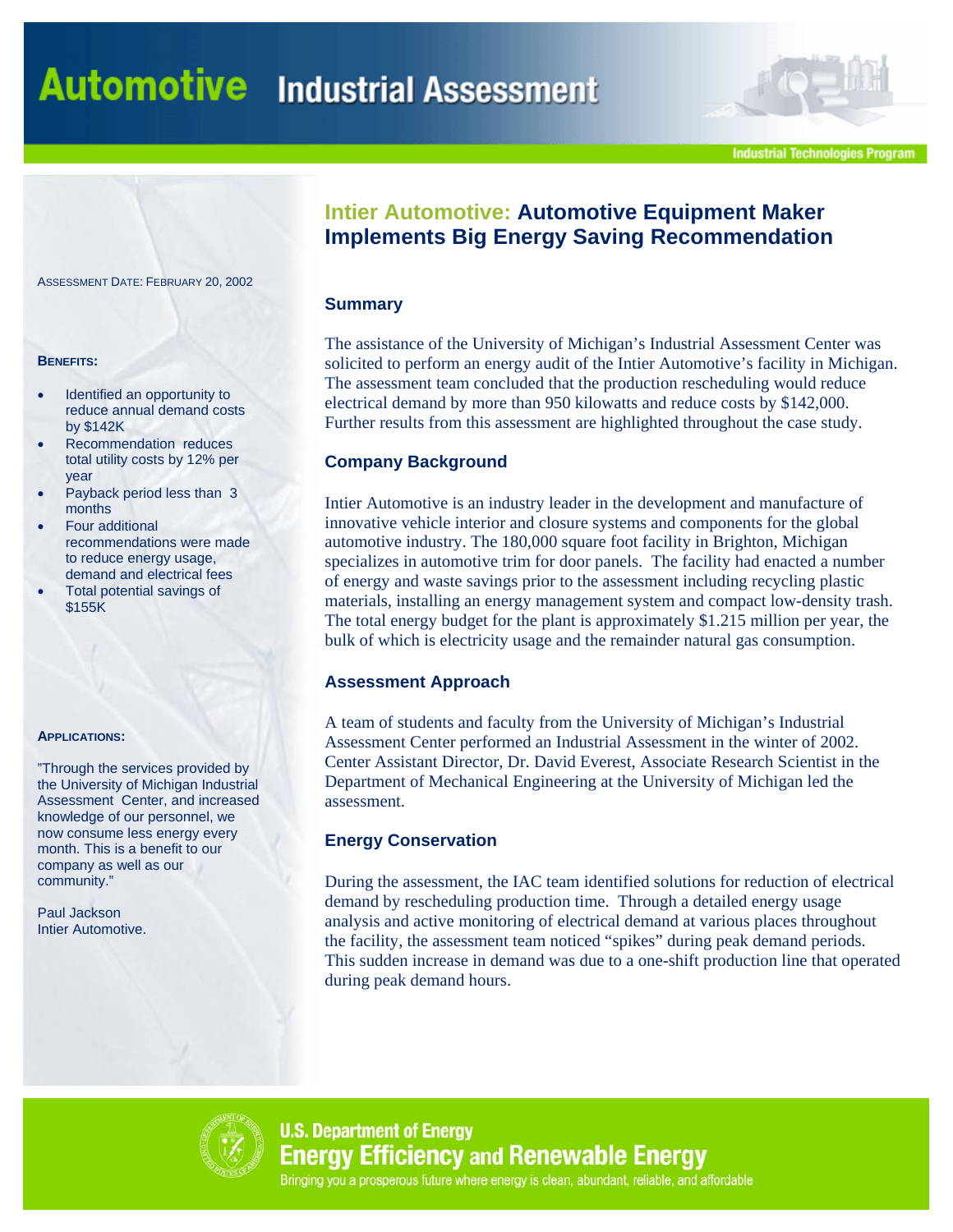**Industrial Technologies Program** 

# **Intier Automotive: Automotive Equipment Maker Implements Big Energy Saving Recommendation**

#### **Summary**

The assistance of the University of Michigan's Industrial Assessment Center was solicited to perform an energy audit of the Intier Automotive's facility in Michigan. The assessment team concluded that the production rescheduling would reduce electrical demand by more than 950 kilowatts and reduce costs by \$142,000. Further results from this assessment are highlighted throughout the case study.

# **Company Background**

Intier Automotive is an industry leader in the development and manufacture of innovative vehicle interior and closure systems and components for the global automotive industry. The 180,000 square foot facility in Brighton, Michigan specializes in automotive trim for door panels. The facility had enacted a number of energy and waste savings prior to the assessment including recycling plastic materials, installing an energy management system and compact low-density trash. The total energy budget for the plant is approximately \$1.215 million per year, the bulk of which is electricity usage and the remainder natural gas consumption.

### **Assessment Approach**

A team of students and faculty from the University of Michigan's Industrial Assessment Center performed an Industrial Assessment in the winter of 2002. Center Assistant Director, Dr. David Everest, Associate Research Scientist in the Department of Mechanical Engineering at the University of Michigan led the assessment.

### **Energy Conservation**

During the assessment, the IAC team identified solutions for reduction of electrical demand by rescheduling production time. Through a detailed energy usage analysis and active monitoring of electrical demand at various places throughout the facility, the assessment team noticed "spikes" during peak demand periods. This sudden increase in demand was due to a one-shift production line that operated during peak demand hours.



**U.S. Department of Energy Energy Efficiency and Renewable Energy** Bringing you a prosperous future where energy is clean, abundant, reliable, and affordable

ASSESSMENT DATE: FEBRUARY 20, 2002

#### **BENEFITS:**

- Identified an opportunity to reduce annual demand costs by \$142K
- Recommendation reduces total utility costs by 12% per year
- Payback period less than 3 months
- Four additional recommendations were made to reduce energy usage, demand and electrical fees
- Total potential savings of \$155K

#### **APPLICATIONS:**

"Through the services provided by the University of Michigan Industrial Assessment Center, and increased knowledge of our personnel, we now consume less energy every month. This is a benefit to our company as well as our community."

Paul Jackson Intier Automotive.